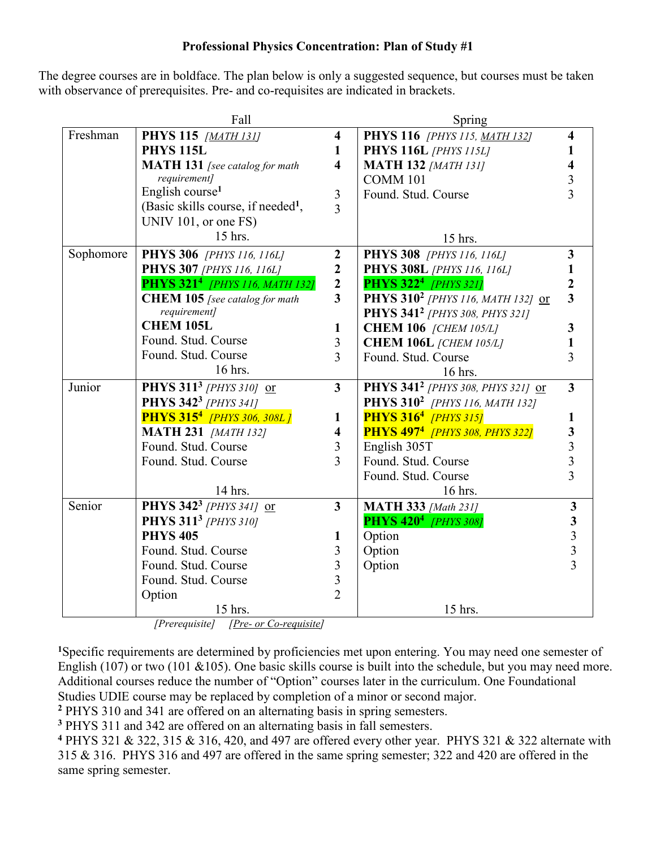## **Professional Physics Concentration: Plan of Study #1**

The degree courses are in boldface. The plan below is only a suggested sequence, but courses must be taken with observance of prerequisites. Pre- and co-requisites are indicated in brackets.

|           | Fall                                             |                         | Spring                                           |                                            |
|-----------|--------------------------------------------------|-------------------------|--------------------------------------------------|--------------------------------------------|
| Freshman  | <b>PHYS 115</b> [MATH 131]                       | $\overline{\mathbf{4}}$ | PHYS 116 [PHYS 115, MATH 132]                    | 4                                          |
|           | <b>PHYS 115L</b>                                 | 1                       | <b>PHYS 116L</b> [PHYS 115L]                     |                                            |
|           | <b>MATH 131</b> [see catalog for math            | $\overline{\mathbf{4}}$ | <b>MATH 132 [MATH 131]</b>                       |                                            |
|           | requirement]                                     |                         | <b>COMM 101</b>                                  |                                            |
|           | English course <sup>1</sup>                      | 3                       | Found. Stud. Course                              | 3                                          |
|           | (Basic skills course, if needed <sup>1</sup> ,   | $\overline{3}$          |                                                  |                                            |
|           | UNIV 101, or one FS)                             |                         |                                                  |                                            |
|           | 15 hrs.                                          |                         | 15 hrs.                                          |                                            |
| Sophomore | <b>PHYS 306</b> [PHYS 116, 116L]                 | $\boldsymbol{2}$        | <b>PHYS 308</b> [PHYS 116, 116L]                 | $\overline{\mathbf{3}}$                    |
|           | <b>PHYS 307</b> [PHYS 116, 116L]                 | $\boldsymbol{2}$        | <b>PHYS 308L</b> [PHYS 116, 116L]                |                                            |
|           | <b>PHYS 321<sup>4</sup></b> [PHYS 116, MATH 132] | $\mathbf{2}$            | <b>PHYS 3224</b> [PHYS 321]                      | $\boldsymbol{2}$                           |
|           | <b>CHEM 105</b> [see catalog for math            | $\overline{\mathbf{3}}$ | PHYS 310 <sup>2</sup> [PHYS 116, MATH 132] or    | $\overline{\mathbf{3}}$                    |
|           | requirement]                                     |                         | PHYS 341 <sup>2</sup> [PHYS 308, PHYS 321]       |                                            |
|           | <b>CHEM 105L</b>                                 | $\mathbf{1}$            | <b>CHEM 106</b> [CHEM 105/L]                     | 3                                          |
|           | Found. Stud. Course                              | $\mathfrak{Z}$          | <b>CHEM 106L</b> [CHEM 105/L]                    |                                            |
|           | Found. Stud. Course                              | $\overline{3}$          | Found. Stud. Course                              | 3                                          |
|           | 16 hrs.                                          |                         | 16 hrs.                                          |                                            |
| Junior    | PHYS 311 <sup>3</sup> [PHYS 310] or              | $\overline{3}$          | PHYS 341 <sup>2</sup> [PHYS 308, PHYS 321] or    | $\overline{3}$                             |
|           | PHYS 342 <sup>3</sup> [PHYS 341]                 |                         | PHYS 310 <sup>2</sup> [PHYS 116, MATH 132]       |                                            |
|           | <b>PHYS 315<sup>4</sup></b> [PHYS 306, 308L]     | $\mathbf{1}$            | <b>PHYS 316<sup>4</sup></b> [PHYS 315]           | 1                                          |
|           | <b>MATH 231 [MATH 132]</b>                       | $\overline{\mathbf{4}}$ | <b>PHYS 497<sup>4</sup></b> [PHYS 308, PHYS 322] |                                            |
|           | Found. Stud. Course                              | 3                       | English 305T                                     | $\begin{array}{c} 3 \\ 3 \\ 3 \end{array}$ |
|           | Found. Stud. Course                              | 3                       | Found. Stud. Course                              |                                            |
|           |                                                  |                         | Found. Stud. Course                              |                                            |
|           | 14 hrs.                                          |                         | 16 hrs.                                          |                                            |
| Senior    | PHYS 342 <sup>3</sup> [PHYS 341] or              | $\mathbf{3}$            | <b>MATH 333 [Math 231]</b>                       | $\mathbf{3}$                               |
|           | <b>PHYS 311<sup>3</sup></b> [PHYS 310]           |                         | <b>PHYS 420<sup>4</sup></b> [PHYS 308]           | $\begin{array}{c} 3 \\ 3 \\ 3 \end{array}$ |
|           | <b>PHYS 405</b>                                  | 1                       | Option                                           |                                            |
|           | Found. Stud. Course                              | 3                       | Option                                           |                                            |
|           | Found. Stud. Course                              | 3                       | Option                                           |                                            |
|           | Found. Stud. Course                              | $\overline{3}$          |                                                  |                                            |
|           | Option                                           | $\overline{2}$          |                                                  |                                            |
|           | 15 hrs.                                          |                         | 15 hrs.                                          |                                            |

*[Prerequisite] [Pre- or Co-requisite]*

**<sup>1</sup>**Specific requirements are determined by proficiencies met upon entering. You may need one semester of English (107) or two (101 & 105). One basic skills course is built into the schedule, but you may need more. Additional courses reduce the number of "Option" courses later in the curriculum. One Foundational Studies UDIE course may be replaced by completion of a minor or second major.

**<sup>2</sup>** PHYS 310 and 341 are offered on an alternating basis in spring semesters.

**<sup>3</sup>** PHYS 311 and 342 are offered on an alternating basis in fall semesters.

**<sup>4</sup>** PHYS 321 & 322, 315 & 316, 420, and 497 are offered every other year. PHYS 321 & 322 alternate with 315 & 316. PHYS 316 and 497 are offered in the same spring semester; 322 and 420 are offered in the same spring semester.